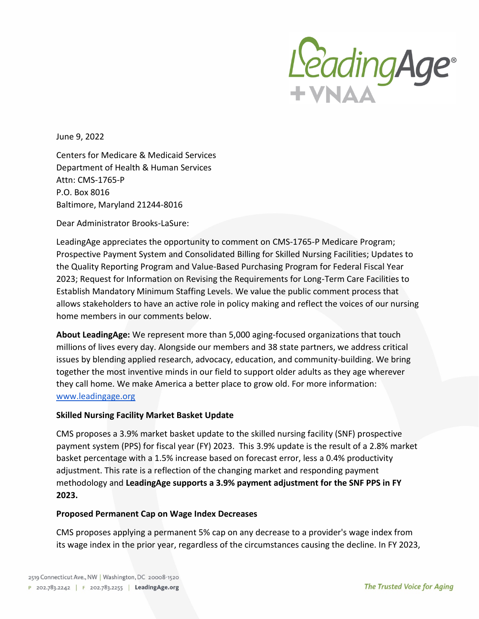

June 9, 2022

Centers for Medicare & Medicaid Services Department of Health & Human Services Attn: CMS-1765-P P.O. Box 8016 Baltimore, Maryland 21244-8016

Dear Administrator Brooks-LaSure:

LeadingAge appreciates the opportunity to comment on CMS-1765-P Medicare Program; Prospective Payment System and Consolidated Billing for Skilled Nursing Facilities; Updates to the Quality Reporting Program and Value-Based Purchasing Program for Federal Fiscal Year 2023; Request for Information on Revising the Requirements for Long-Term Care Facilities to Establish Mandatory Minimum Staffing Levels. We value the public comment process that allows stakeholders to have an active role in policy making and reflect the voices of our nursing home members in our comments below.

**About LeadingAge:** We represent more than 5,000 aging-focused organizations that touch millions of lives every day. Alongside our members and 38 state partners, we address critical issues by blending applied research, advocacy, education, and community-building. We bring together the most inventive minds in our field to support older adults as they age wherever they call home. We make America a better place to grow old. For more information: [www.leadingage.org](http://www.leadingage.org/)

#### **Skilled Nursing Facility Market Basket Update**

CMS proposes a 3.9% market basket update to the skilled nursing facility (SNF) prospective payment system (PPS) for fiscal year (FY) 2023. This 3.9% update is the result of a 2.8% market basket percentage with a 1.5% increase based on forecast error, less a 0.4% productivity adjustment. This rate is a reflection of the changing market and responding payment methodology and **LeadingAge supports a 3.9% payment adjustment for the SNF PPS in FY 2023.** 

#### **Proposed Permanent Cap on Wage Index Decreases**

CMS proposes applying a permanent 5% cap on any decrease to a provider's wage index from its wage index in the prior year, regardless of the circumstances causing the decline. In FY 2023,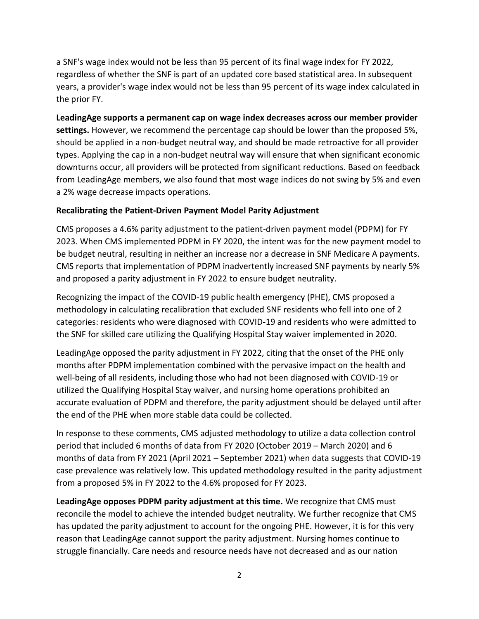a SNF's wage index would not be less than 95 percent of its final wage index for FY 2022, regardless of whether the SNF is part of an updated core based statistical area. In subsequent years, a provider's wage index would not be less than 95 percent of its wage index calculated in the prior FY.

**LeadingAge supports a permanent cap on wage index decreases across our member provider settings.** However, we recommend the percentage cap should be lower than the proposed 5%, should be applied in a non-budget neutral way, and should be made retroactive for all provider types. Applying the cap in a non-budget neutral way will ensure that when significant economic downturns occur, all providers will be protected from significant reductions. Based on feedback from LeadingAge members, we also found that most wage indices do not swing by 5% and even a 2% wage decrease impacts operations.

#### **Recalibrating the Patient-Driven Payment Model Parity Adjustment**

CMS proposes a 4.6% parity adjustment to the patient-driven payment model (PDPM) for FY 2023. When CMS implemented PDPM in FY 2020, the intent was for the new payment model to be budget neutral, resulting in neither an increase nor a decrease in SNF Medicare A payments. CMS reports that implementation of PDPM inadvertently increased SNF payments by nearly 5% and proposed a parity adjustment in FY 2022 to ensure budget neutrality.

Recognizing the impact of the COVID-19 public health emergency (PHE), CMS proposed a methodology in calculating recalibration that excluded SNF residents who fell into one of 2 categories: residents who were diagnosed with COVID-19 and residents who were admitted to the SNF for skilled care utilizing the Qualifying Hospital Stay waiver implemented in 2020.

LeadingAge opposed the parity adjustment in FY 2022, citing that the onset of the PHE only months after PDPM implementation combined with the pervasive impact on the health and well-being of all residents, including those who had not been diagnosed with COVID-19 or utilized the Qualifying Hospital Stay waiver, and nursing home operations prohibited an accurate evaluation of PDPM and therefore, the parity adjustment should be delayed until after the end of the PHE when more stable data could be collected.

In response to these comments, CMS adjusted methodology to utilize a data collection control period that included 6 months of data from FY 2020 (October 2019 – March 2020) and 6 months of data from FY 2021 (April 2021 – September 2021) when data suggests that COVID-19 case prevalence was relatively low. This updated methodology resulted in the parity adjustment from a proposed 5% in FY 2022 to the 4.6% proposed for FY 2023.

**LeadingAge opposes PDPM parity adjustment at this time.** We recognize that CMS must reconcile the model to achieve the intended budget neutrality. We further recognize that CMS has updated the parity adjustment to account for the ongoing PHE. However, it is for this very reason that LeadingAge cannot support the parity adjustment. Nursing homes continue to struggle financially. Care needs and resource needs have not decreased and as our nation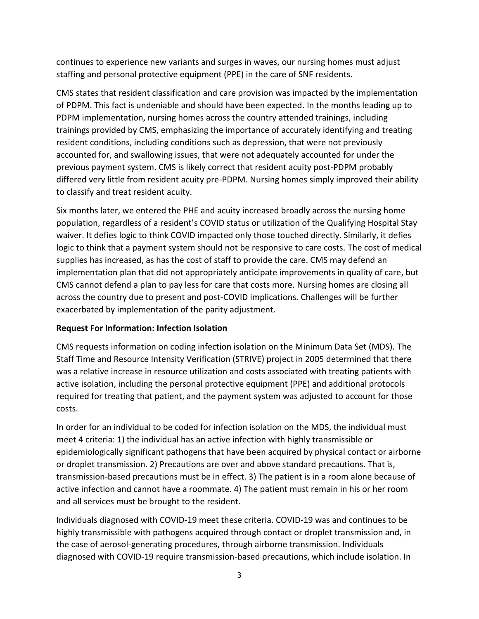continues to experience new variants and surges in waves, our nursing homes must adjust staffing and personal protective equipment (PPE) in the care of SNF residents.

CMS states that resident classification and care provision was impacted by the implementation of PDPM. This fact is undeniable and should have been expected. In the months leading up to PDPM implementation, nursing homes across the country attended trainings, including trainings provided by CMS, emphasizing the importance of accurately identifying and treating resident conditions, including conditions such as depression, that were not previously accounted for, and swallowing issues, that were not adequately accounted for under the previous payment system. CMS is likely correct that resident acuity post-PDPM probably differed very little from resident acuity pre-PDPM. Nursing homes simply improved their ability to classify and treat resident acuity.

Six months later, we entered the PHE and acuity increased broadly across the nursing home population, regardless of a resident's COVID status or utilization of the Qualifying Hospital Stay waiver. It defies logic to think COVID impacted only those touched directly. Similarly, it defies logic to think that a payment system should not be responsive to care costs. The cost of medical supplies has increased, as has the cost of staff to provide the care. CMS may defend an implementation plan that did not appropriately anticipate improvements in quality of care, but CMS cannot defend a plan to pay less for care that costs more. Nursing homes are closing all across the country due to present and post-COVID implications. Challenges will be further exacerbated by implementation of the parity adjustment.

#### **Request For Information: Infection Isolation**

CMS requests information on coding infection isolation on the Minimum Data Set (MDS). The Staff Time and Resource Intensity Verification (STRIVE) project in 2005 determined that there was a relative increase in resource utilization and costs associated with treating patients with active isolation, including the personal protective equipment (PPE) and additional protocols required for treating that patient, and the payment system was adjusted to account for those costs.

In order for an individual to be coded for infection isolation on the MDS, the individual must meet 4 criteria: 1) the individual has an active infection with highly transmissible or epidemiologically significant pathogens that have been acquired by physical contact or airborne or droplet transmission. 2) Precautions are over and above standard precautions. That is, transmission-based precautions must be in effect. 3) The patient is in a room alone because of active infection and cannot have a roommate. 4) The patient must remain in his or her room and all services must be brought to the resident.

Individuals diagnosed with COVID-19 meet these criteria. COVID-19 was and continues to be highly transmissible with pathogens acquired through contact or droplet transmission and, in the case of aerosol-generating procedures, through airborne transmission. Individuals diagnosed with COVID-19 require transmission-based precautions, which include isolation. In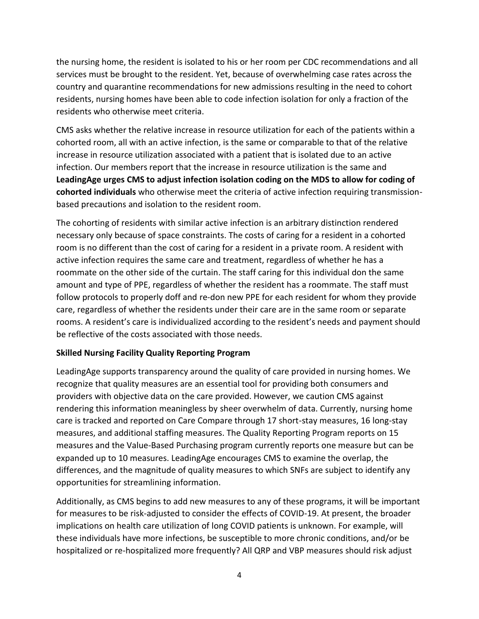the nursing home, the resident is isolated to his or her room per CDC recommendations and all services must be brought to the resident. Yet, because of overwhelming case rates across the country and quarantine recommendations for new admissions resulting in the need to cohort residents, nursing homes have been able to code infection isolation for only a fraction of the residents who otherwise meet criteria.

CMS asks whether the relative increase in resource utilization for each of the patients within a cohorted room, all with an active infection, is the same or comparable to that of the relative increase in resource utilization associated with a patient that is isolated due to an active infection. Our members report that the increase in resource utilization is the same and **LeadingAge urges CMS to adjust infection isolation coding on the MDS to allow for coding of cohorted individuals** who otherwise meet the criteria of active infection requiring transmissionbased precautions and isolation to the resident room.

The cohorting of residents with similar active infection is an arbitrary distinction rendered necessary only because of space constraints. The costs of caring for a resident in a cohorted room is no different than the cost of caring for a resident in a private room. A resident with active infection requires the same care and treatment, regardless of whether he has a roommate on the other side of the curtain. The staff caring for this individual don the same amount and type of PPE, regardless of whether the resident has a roommate. The staff must follow protocols to properly doff and re-don new PPE for each resident for whom they provide care, regardless of whether the residents under their care are in the same room or separate rooms. A resident's care is individualized according to the resident's needs and payment should be reflective of the costs associated with those needs.

#### **Skilled Nursing Facility Quality Reporting Program**

LeadingAge supports transparency around the quality of care provided in nursing homes. We recognize that quality measures are an essential tool for providing both consumers and providers with objective data on the care provided. However, we caution CMS against rendering this information meaningless by sheer overwhelm of data. Currently, nursing home care is tracked and reported on Care Compare through 17 short-stay measures, 16 long-stay measures, and additional staffing measures. The Quality Reporting Program reports on 15 measures and the Value-Based Purchasing program currently reports one measure but can be expanded up to 10 measures. LeadingAge encourages CMS to examine the overlap, the differences, and the magnitude of quality measures to which SNFs are subject to identify any opportunities for streamlining information.

Additionally, as CMS begins to add new measures to any of these programs, it will be important for measures to be risk-adjusted to consider the effects of COVID-19. At present, the broader implications on health care utilization of long COVID patients is unknown. For example, will these individuals have more infections, be susceptible to more chronic conditions, and/or be hospitalized or re-hospitalized more frequently? All QRP and VBP measures should risk adjust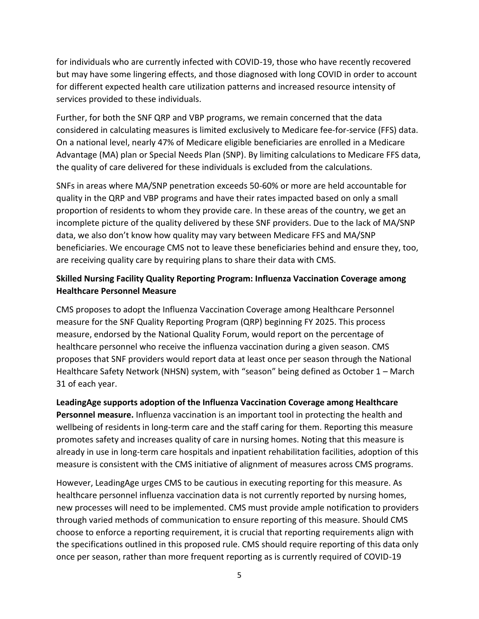for individuals who are currently infected with COVID-19, those who have recently recovered but may have some lingering effects, and those diagnosed with long COVID in order to account for different expected health care utilization patterns and increased resource intensity of services provided to these individuals.

Further, for both the SNF QRP and VBP programs, we remain concerned that the data considered in calculating measures is limited exclusively to Medicare fee-for-service (FFS) data. On a national level, nearly 47% of Medicare eligible beneficiaries are enrolled in a Medicare Advantage (MA) plan or Special Needs Plan (SNP). By limiting calculations to Medicare FFS data, the quality of care delivered for these individuals is excluded from the calculations.

SNFs in areas where MA/SNP penetration exceeds 50-60% or more are held accountable for quality in the QRP and VBP programs and have their rates impacted based on only a small proportion of residents to whom they provide care. In these areas of the country, we get an incomplete picture of the quality delivered by these SNF providers. Due to the lack of MA/SNP data, we also don't know how quality may vary between Medicare FFS and MA/SNP beneficiaries. We encourage CMS not to leave these beneficiaries behind and ensure they, too, are receiving quality care by requiring plans to share their data with CMS.

#### **Skilled Nursing Facility Quality Reporting Program: Influenza Vaccination Coverage among Healthcare Personnel Measure**

CMS proposes to adopt the Influenza Vaccination Coverage among Healthcare Personnel measure for the SNF Quality Reporting Program (QRP) beginning FY 2025. This process measure, endorsed by the National Quality Forum, would report on the percentage of healthcare personnel who receive the influenza vaccination during a given season. CMS proposes that SNF providers would report data at least once per season through the National Healthcare Safety Network (NHSN) system, with "season" being defined as October 1 – March 31 of each year.

**LeadingAge supports adoption of the Influenza Vaccination Coverage among Healthcare Personnel measure.** Influenza vaccination is an important tool in protecting the health and wellbeing of residents in long-term care and the staff caring for them. Reporting this measure promotes safety and increases quality of care in nursing homes. Noting that this measure is already in use in long-term care hospitals and inpatient rehabilitation facilities, adoption of this measure is consistent with the CMS initiative of alignment of measures across CMS programs.

However, LeadingAge urges CMS to be cautious in executing reporting for this measure. As healthcare personnel influenza vaccination data is not currently reported by nursing homes, new processes will need to be implemented. CMS must provide ample notification to providers through varied methods of communication to ensure reporting of this measure. Should CMS choose to enforce a reporting requirement, it is crucial that reporting requirements align with the specifications outlined in this proposed rule. CMS should require reporting of this data only once per season, rather than more frequent reporting as is currently required of COVID-19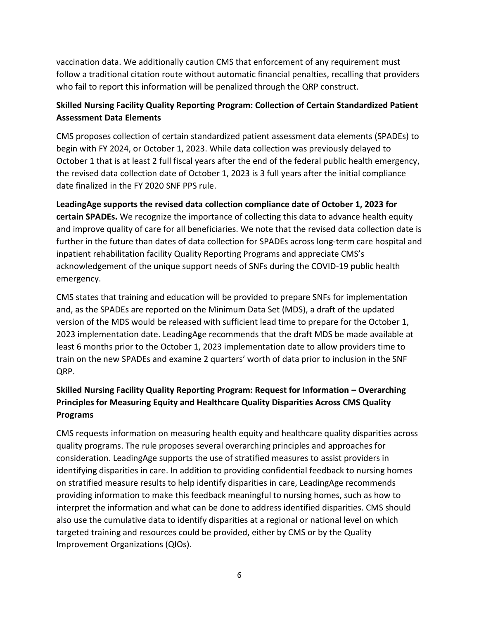vaccination data. We additionally caution CMS that enforcement of any requirement must follow a traditional citation route without automatic financial penalties, recalling that providers who fail to report this information will be penalized through the QRP construct.

### **Skilled Nursing Facility Quality Reporting Program: Collection of Certain Standardized Patient Assessment Data Elements**

CMS proposes collection of certain standardized patient assessment data elements (SPADEs) to begin with FY 2024, or October 1, 2023. While data collection was previously delayed to October 1 that is at least 2 full fiscal years after the end of the federal public health emergency, the revised data collection date of October 1, 2023 is 3 full years after the initial compliance date finalized in the FY 2020 SNF PPS rule.

**LeadingAge supports the revised data collection compliance date of October 1, 2023 for certain SPADEs.** We recognize the importance of collecting this data to advance health equity and improve quality of care for all beneficiaries. We note that the revised data collection date is further in the future than dates of data collection for SPADEs across long-term care hospital and inpatient rehabilitation facility Quality Reporting Programs and appreciate CMS's acknowledgement of the unique support needs of SNFs during the COVID-19 public health emergency.

CMS states that training and education will be provided to prepare SNFs for implementation and, as the SPADEs are reported on the Minimum Data Set (MDS), a draft of the updated version of the MDS would be released with sufficient lead time to prepare for the October 1, 2023 implementation date. LeadingAge recommends that the draft MDS be made available at least 6 months prior to the October 1, 2023 implementation date to allow providers time to train on the new SPADEs and examine 2 quarters' worth of data prior to inclusion in the SNF QRP.

# **Skilled Nursing Facility Quality Reporting Program: Request for Information – Overarching Principles for Measuring Equity and Healthcare Quality Disparities Across CMS Quality Programs**

CMS requests information on measuring health equity and healthcare quality disparities across quality programs. The rule proposes several overarching principles and approaches for consideration. LeadingAge supports the use of stratified measures to assist providers in identifying disparities in care. In addition to providing confidential feedback to nursing homes on stratified measure results to help identify disparities in care, LeadingAge recommends providing information to make this feedback meaningful to nursing homes, such as how to interpret the information and what can be done to address identified disparities. CMS should also use the cumulative data to identify disparities at a regional or national level on which targeted training and resources could be provided, either by CMS or by the Quality Improvement Organizations (QIOs).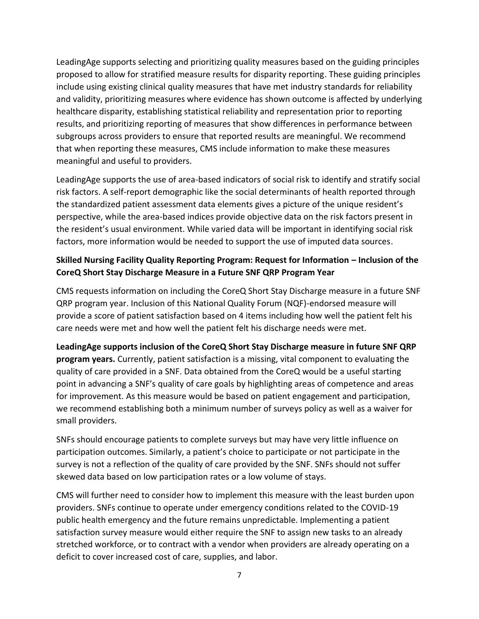LeadingAge supports selecting and prioritizing quality measures based on the guiding principles proposed to allow for stratified measure results for disparity reporting. These guiding principles include using existing clinical quality measures that have met industry standards for reliability and validity, prioritizing measures where evidence has shown outcome is affected by underlying healthcare disparity, establishing statistical reliability and representation prior to reporting results, and prioritizing reporting of measures that show differences in performance between subgroups across providers to ensure that reported results are meaningful. We recommend that when reporting these measures, CMS include information to make these measures meaningful and useful to providers.

LeadingAge supports the use of area-based indicators of social risk to identify and stratify social risk factors. A self-report demographic like the social determinants of health reported through the standardized patient assessment data elements gives a picture of the unique resident's perspective, while the area-based indices provide objective data on the risk factors present in the resident's usual environment. While varied data will be important in identifying social risk factors, more information would be needed to support the use of imputed data sources.

### **Skilled Nursing Facility Quality Reporting Program: Request for Information – Inclusion of the CoreQ Short Stay Discharge Measure in a Future SNF QRP Program Year**

CMS requests information on including the CoreQ Short Stay Discharge measure in a future SNF QRP program year. Inclusion of this National Quality Forum (NQF)-endorsed measure will provide a score of patient satisfaction based on 4 items including how well the patient felt his care needs were met and how well the patient felt his discharge needs were met.

**LeadingAge supports inclusion of the CoreQ Short Stay Discharge measure in future SNF QRP program years.** Currently, patient satisfaction is a missing, vital component to evaluating the quality of care provided in a SNF. Data obtained from the CoreQ would be a useful starting point in advancing a SNF's quality of care goals by highlighting areas of competence and areas for improvement. As this measure would be based on patient engagement and participation, we recommend establishing both a minimum number of surveys policy as well as a waiver for small providers.

SNFs should encourage patients to complete surveys but may have very little influence on participation outcomes. Similarly, a patient's choice to participate or not participate in the survey is not a reflection of the quality of care provided by the SNF. SNFs should not suffer skewed data based on low participation rates or a low volume of stays.

CMS will further need to consider how to implement this measure with the least burden upon providers. SNFs continue to operate under emergency conditions related to the COVID-19 public health emergency and the future remains unpredictable. Implementing a patient satisfaction survey measure would either require the SNF to assign new tasks to an already stretched workforce, or to contract with a vendor when providers are already operating on a deficit to cover increased cost of care, supplies, and labor.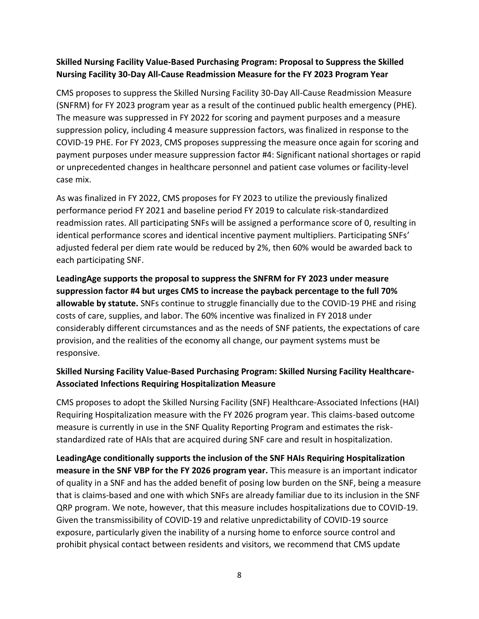#### **Skilled Nursing Facility Value-Based Purchasing Program: Proposal to Suppress the Skilled Nursing Facility 30-Day All-Cause Readmission Measure for the FY 2023 Program Year**

CMS proposes to suppress the Skilled Nursing Facility 30-Day All-Cause Readmission Measure (SNFRM) for FY 2023 program year as a result of the continued public health emergency (PHE). The measure was suppressed in FY 2022 for scoring and payment purposes and a measure suppression policy, including 4 measure suppression factors, was finalized in response to the COVID-19 PHE. For FY 2023, CMS proposes suppressing the measure once again for scoring and payment purposes under measure suppression factor #4: Significant national shortages or rapid or unprecedented changes in healthcare personnel and patient case volumes or facility-level case mix.

As was finalized in FY 2022, CMS proposes for FY 2023 to utilize the previously finalized performance period FY 2021 and baseline period FY 2019 to calculate risk-standardized readmission rates. All participating SNFs will be assigned a performance score of 0, resulting in identical performance scores and identical incentive payment multipliers. Participating SNFs' adjusted federal per diem rate would be reduced by 2%, then 60% would be awarded back to each participating SNF.

**LeadingAge supports the proposal to suppress the SNFRM for FY 2023 under measure suppression factor #4 but urges CMS to increase the payback percentage to the full 70% allowable by statute.** SNFs continue to struggle financially due to the COVID-19 PHE and rising costs of care, supplies, and labor. The 60% incentive was finalized in FY 2018 under considerably different circumstances and as the needs of SNF patients, the expectations of care provision, and the realities of the economy all change, our payment systems must be responsive.

### **Skilled Nursing Facility Value-Based Purchasing Program: Skilled Nursing Facility Healthcare-Associated Infections Requiring Hospitalization Measure**

CMS proposes to adopt the Skilled Nursing Facility (SNF) Healthcare-Associated Infections (HAI) Requiring Hospitalization measure with the FY 2026 program year. This claims-based outcome measure is currently in use in the SNF Quality Reporting Program and estimates the riskstandardized rate of HAIs that are acquired during SNF care and result in hospitalization.

**LeadingAge conditionally supports the inclusion of the SNF HAIs Requiring Hospitalization measure in the SNF VBP for the FY 2026 program year.** This measure is an important indicator of quality in a SNF and has the added benefit of posing low burden on the SNF, being a measure that is claims-based and one with which SNFs are already familiar due to its inclusion in the SNF QRP program. We note, however, that this measure includes hospitalizations due to COVID-19. Given the transmissibility of COVID-19 and relative unpredictability of COVID-19 source exposure, particularly given the inability of a nursing home to enforce source control and prohibit physical contact between residents and visitors, we recommend that CMS update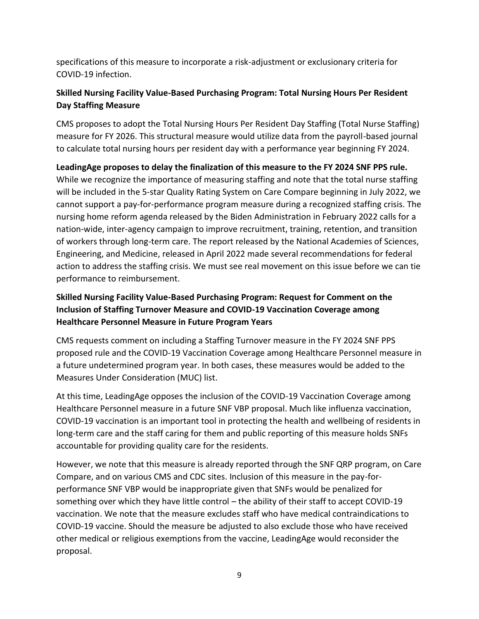specifications of this measure to incorporate a risk-adjustment or exclusionary criteria for COVID-19 infection.

### **Skilled Nursing Facility Value-Based Purchasing Program: Total Nursing Hours Per Resident Day Staffing Measure**

CMS proposes to adopt the Total Nursing Hours Per Resident Day Staffing (Total Nurse Staffing) measure for FY 2026. This structural measure would utilize data from the payroll-based journal to calculate total nursing hours per resident day with a performance year beginning FY 2024.

**LeadingAge proposes to delay the finalization of this measure to the FY 2024 SNF PPS rule.** While we recognize the importance of measuring staffing and note that the total nurse staffing will be included in the 5-star Quality Rating System on Care Compare beginning in July 2022, we cannot support a pay-for-performance program measure during a recognized staffing crisis. The nursing home reform agenda released by the Biden Administration in February 2022 calls for a nation-wide, inter-agency campaign to improve recruitment, training, retention, and transition of workers through long-term care. The report released by the National Academies of Sciences, Engineering, and Medicine, released in April 2022 made several recommendations for federal action to address the staffing crisis. We must see real movement on this issue before we can tie performance to reimbursement.

## **Skilled Nursing Facility Value-Based Purchasing Program: Request for Comment on the Inclusion of Staffing Turnover Measure and COVID-19 Vaccination Coverage among Healthcare Personnel Measure in Future Program Years**

CMS requests comment on including a Staffing Turnover measure in the FY 2024 SNF PPS proposed rule and the COVID-19 Vaccination Coverage among Healthcare Personnel measure in a future undetermined program year. In both cases, these measures would be added to the Measures Under Consideration (MUC) list.

At this time, LeadingAge opposes the inclusion of the COVID-19 Vaccination Coverage among Healthcare Personnel measure in a future SNF VBP proposal. Much like influenza vaccination, COVID-19 vaccination is an important tool in protecting the health and wellbeing of residents in long-term care and the staff caring for them and public reporting of this measure holds SNFs accountable for providing quality care for the residents.

However, we note that this measure is already reported through the SNF QRP program, on Care Compare, and on various CMS and CDC sites. Inclusion of this measure in the pay-forperformance SNF VBP would be inappropriate given that SNFs would be penalized for something over which they have little control – the ability of their staff to accept COVID-19 vaccination. We note that the measure excludes staff who have medical contraindications to COVID-19 vaccine. Should the measure be adjusted to also exclude those who have received other medical or religious exemptions from the vaccine, LeadingAge would reconsider the proposal.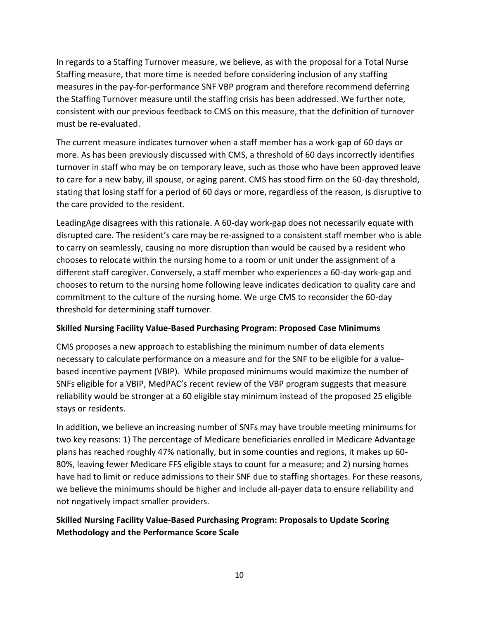In regards to a Staffing Turnover measure, we believe, as with the proposal for a Total Nurse Staffing measure, that more time is needed before considering inclusion of any staffing measures in the pay-for-performance SNF VBP program and therefore recommend deferring the Staffing Turnover measure until the staffing crisis has been addressed. We further note, consistent with our previous feedback to CMS on this measure, that the definition of turnover must be re-evaluated.

The current measure indicates turnover when a staff member has a work-gap of 60 days or more. As has been previously discussed with CMS, a threshold of 60 days incorrectly identifies turnover in staff who may be on temporary leave, such as those who have been approved leave to care for a new baby, ill spouse, or aging parent. CMS has stood firm on the 60-day threshold, stating that losing staff for a period of 60 days or more, regardless of the reason, is disruptive to the care provided to the resident.

LeadingAge disagrees with this rationale. A 60-day work-gap does not necessarily equate with disrupted care. The resident's care may be re-assigned to a consistent staff member who is able to carry on seamlessly, causing no more disruption than would be caused by a resident who chooses to relocate within the nursing home to a room or unit under the assignment of a different staff caregiver. Conversely, a staff member who experiences a 60-day work-gap and chooses to return to the nursing home following leave indicates dedication to quality care and commitment to the culture of the nursing home. We urge CMS to reconsider the 60-day threshold for determining staff turnover.

#### **Skilled Nursing Facility Value-Based Purchasing Program: Proposed Case Minimums**

CMS proposes a new approach to establishing the minimum number of data elements necessary to calculate performance on a measure and for the SNF to be eligible for a valuebased incentive payment (VBIP). While proposed minimums would maximize the number of SNFs eligible for a VBIP, MedPAC's recent review of the VBP program suggests that measure reliability would be stronger at a 60 eligible stay minimum instead of the proposed 25 eligible stays or residents.

In addition, we believe an increasing number of SNFs may have trouble meeting minimums for two key reasons: 1) The percentage of Medicare beneficiaries enrolled in Medicare Advantage plans has reached roughly 47% nationally, but in some counties and regions, it makes up 60- 80%, leaving fewer Medicare FFS eligible stays to count for a measure; and 2) nursing homes have had to limit or reduce admissions to their SNF due to staffing shortages. For these reasons, we believe the minimums should be higher and include all-payer data to ensure reliability and not negatively impact smaller providers.

#### **Skilled Nursing Facility Value-Based Purchasing Program: Proposals to Update Scoring Methodology and the Performance Score Scale**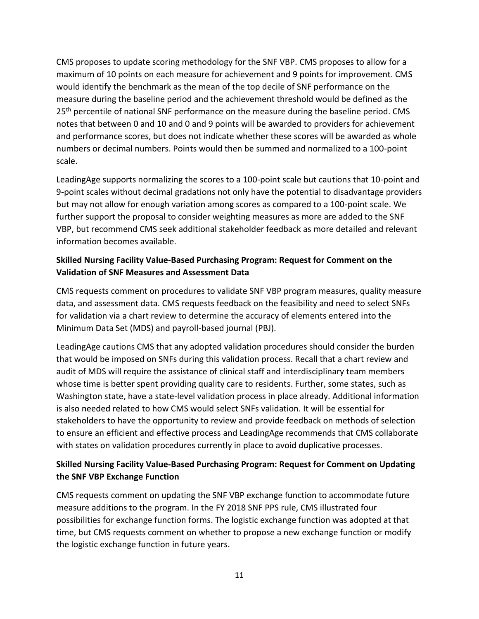CMS proposes to update scoring methodology for the SNF VBP. CMS proposes to allow for a maximum of 10 points on each measure for achievement and 9 points for improvement. CMS would identify the benchmark as the mean of the top decile of SNF performance on the measure during the baseline period and the achievement threshold would be defined as the 25<sup>th</sup> percentile of national SNF performance on the measure during the baseline period. CMS notes that between 0 and 10 and 0 and 9 points will be awarded to providers for achievement and performance scores, but does not indicate whether these scores will be awarded as whole numbers or decimal numbers. Points would then be summed and normalized to a 100-point scale.

LeadingAge supports normalizing the scores to a 100-point scale but cautions that 10-point and 9-point scales without decimal gradations not only have the potential to disadvantage providers but may not allow for enough variation among scores as compared to a 100-point scale. We further support the proposal to consider weighting measures as more are added to the SNF VBP, but recommend CMS seek additional stakeholder feedback as more detailed and relevant information becomes available.

### **Skilled Nursing Facility Value-Based Purchasing Program: Request for Comment on the Validation of SNF Measures and Assessment Data**

CMS requests comment on procedures to validate SNF VBP program measures, quality measure data, and assessment data. CMS requests feedback on the feasibility and need to select SNFs for validation via a chart review to determine the accuracy of elements entered into the Minimum Data Set (MDS) and payroll-based journal (PBJ).

LeadingAge cautions CMS that any adopted validation procedures should consider the burden that would be imposed on SNFs during this validation process. Recall that a chart review and audit of MDS will require the assistance of clinical staff and interdisciplinary team members whose time is better spent providing quality care to residents. Further, some states, such as Washington state, have a state-level validation process in place already. Additional information is also needed related to how CMS would select SNFs validation. It will be essential for stakeholders to have the opportunity to review and provide feedback on methods of selection to ensure an efficient and effective process and LeadingAge recommends that CMS collaborate with states on validation procedures currently in place to avoid duplicative processes.

### **Skilled Nursing Facility Value-Based Purchasing Program: Request for Comment on Updating the SNF VBP Exchange Function**

CMS requests comment on updating the SNF VBP exchange function to accommodate future measure additions to the program. In the FY 2018 SNF PPS rule, CMS illustrated four possibilities for exchange function forms. The logistic exchange function was adopted at that time, but CMS requests comment on whether to propose a new exchange function or modify the logistic exchange function in future years.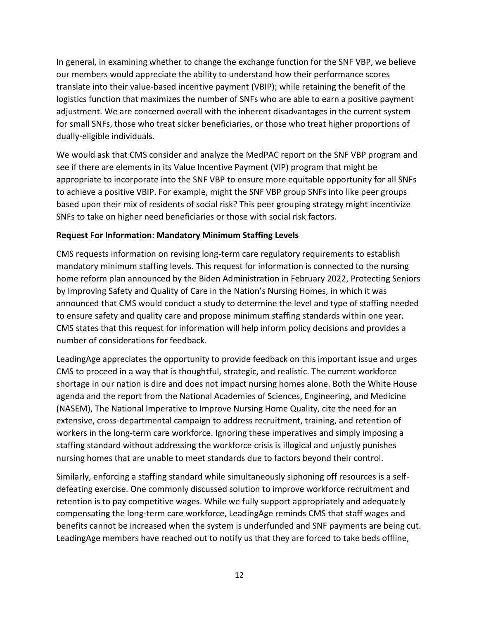In general, in examining whether to change the exchange function for the SNF VBP, we believe our members would appreciate the ability to understand how their performance scores translate into their value-based incentive payment (VBIP); while retaining the benefit of the logistics function that maximizes the number of SNFs who are able to earn a positive payment adjustment. We are concerned overall with the inherent disadvantages in the current system for small SNFs, those who treat sicker beneficiaries, or those who treat higher proportions of dually-eligible individuals.

We would ask that CMS consider and analyze the MedPAC report on the SNF VBP program and see if there are elements in its Value Incentive Payment (VIP) program that might be appropriate to incorporate into the SNF VBP to ensure more equitable opportunity for all SNFs to achieve a positive VBIP. For example, might the SNF VBP group SNFs into like peer groups based upon their mix of residents of social risk? This peer grouping strategy might incentivize SNFs to take on higher need beneficiaries or those with social risk factors.

#### **Request For Information: Mandatory Minimum Staffing Levels**

CMS requests information on revising long-term care regulatory requirements to establish mandatory minimum staffing levels. This request for information is connected to the nursing home reform plan announced by the Biden Administration in February 2022, Protecting Seniors by Improving Safety and Quality of Care in the Nation's Nursing Homes, in which it was announced that CMS would conduct a study to determine the level and type of staffing needed to ensure safety and quality care and propose minimum staffing standards within one year. CMS states that this request for information will help inform policy decisions and provides a number of considerations for feedback.

LeadingAge appreciates the opportunity to provide feedback on this important issue and urges CMS to proceed in a way that is thoughtful, strategic, and realistic. The current workforce shortage in our nation is dire and does not impact nursing homes alone. Both the White House agenda and the report from the National Academies of Sciences, Engineering, and Medicine (NASEM), The National Imperative to Improve Nursing Home Quality, cite the need for an extensive, cross-departmental campaign to address recruitment, training, and retention of workers in the long-term care workforce. Ignoring these imperatives and simply imposing a staffing standard without addressing the workforce crisis is illogical and unjustly punishes nursing homes that are unable to meet standards due to factors beyond their control.

Similarly, enforcing a staffing standard while simultaneously siphoning off resources is a selfdefeating exercise. One commonly discussed solution to improve workforce recruitment and retention is to pay competitive wages. While we fully support appropriately and adequately compensating the long-term care workforce, LeadingAge reminds CMS that staff wages and benefits cannot be increased when the system is underfunded and SNF payments are being cut. LeadingAge members have reached out to notify us that they are forced to take beds offline,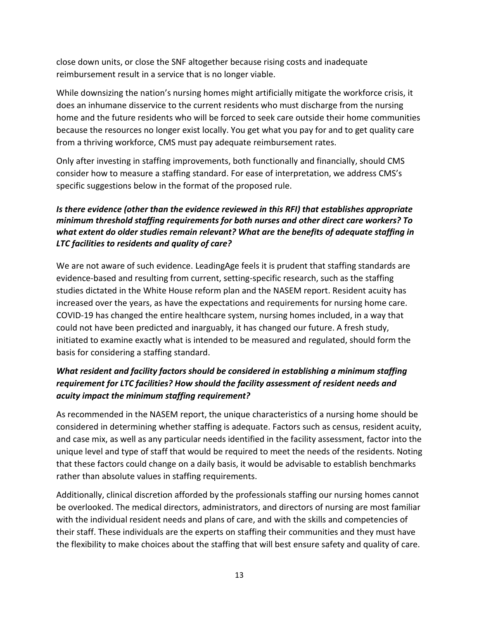close down units, or close the SNF altogether because rising costs and inadequate reimbursement result in a service that is no longer viable.

While downsizing the nation's nursing homes might artificially mitigate the workforce crisis, it does an inhumane disservice to the current residents who must discharge from the nursing home and the future residents who will be forced to seek care outside their home communities because the resources no longer exist locally. You get what you pay for and to get quality care from a thriving workforce, CMS must pay adequate reimbursement rates.

Only after investing in staffing improvements, both functionally and financially, should CMS consider how to measure a staffing standard. For ease of interpretation, we address CMS's specific suggestions below in the format of the proposed rule.

### *Is there evidence (other than the evidence reviewed in this RFI) that establishes appropriate minimum threshold staffing requirements for both nurses and other direct care workers? To what extent do older studies remain relevant? What are the benefits of adequate staffing in LTC facilities to residents and quality of care?*

We are not aware of such evidence. LeadingAge feels it is prudent that staffing standards are evidence-based and resulting from current, setting-specific research, such as the staffing studies dictated in the White House reform plan and the NASEM report. Resident acuity has increased over the years, as have the expectations and requirements for nursing home care. COVID-19 has changed the entire healthcare system, nursing homes included, in a way that could not have been predicted and inarguably, it has changed our future. A fresh study, initiated to examine exactly what is intended to be measured and regulated, should form the basis for considering a staffing standard.

## *What resident and facility factors should be considered in establishing a minimum staffing requirement for LTC facilities? How should the facility assessment of resident needs and acuity impact the minimum staffing requirement?*

As recommended in the NASEM report, the unique characteristics of a nursing home should be considered in determining whether staffing is adequate. Factors such as census, resident acuity, and case mix, as well as any particular needs identified in the facility assessment, factor into the unique level and type of staff that would be required to meet the needs of the residents. Noting that these factors could change on a daily basis, it would be advisable to establish benchmarks rather than absolute values in staffing requirements.

Additionally, clinical discretion afforded by the professionals staffing our nursing homes cannot be overlooked. The medical directors, administrators, and directors of nursing are most familiar with the individual resident needs and plans of care, and with the skills and competencies of their staff. These individuals are the experts on staffing their communities and they must have the flexibility to make choices about the staffing that will best ensure safety and quality of care.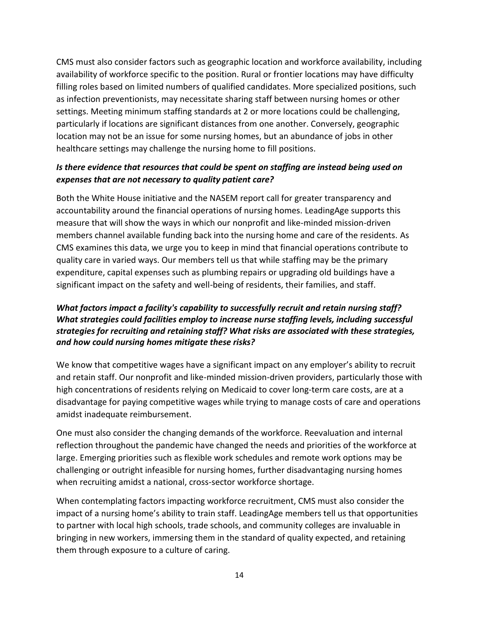CMS must also consider factors such as geographic location and workforce availability, including availability of workforce specific to the position. Rural or frontier locations may have difficulty filling roles based on limited numbers of qualified candidates. More specialized positions, such as infection preventionists, may necessitate sharing staff between nursing homes or other settings. Meeting minimum staffing standards at 2 or more locations could be challenging, particularly if locations are significant distances from one another. Conversely, geographic location may not be an issue for some nursing homes, but an abundance of jobs in other healthcare settings may challenge the nursing home to fill positions.

### *Is there evidence that resources that could be spent on staffing are instead being used on expenses that are not necessary to quality patient care?*

Both the White House initiative and the NASEM report call for greater transparency and accountability around the financial operations of nursing homes. LeadingAge supports this measure that will show the ways in which our nonprofit and like-minded mission-driven members channel available funding back into the nursing home and care of the residents. As CMS examines this data, we urge you to keep in mind that financial operations contribute to quality care in varied ways. Our members tell us that while staffing may be the primary expenditure, capital expenses such as plumbing repairs or upgrading old buildings have a significant impact on the safety and well-being of residents, their families, and staff.

### *What factors impact a facility's capability to successfully recruit and retain nursing staff? What strategies could facilities employ to increase nurse staffing levels, including successful strategies for recruiting and retaining staff? What risks are associated with these strategies, and how could nursing homes mitigate these risks?*

We know that competitive wages have a significant impact on any employer's ability to recruit and retain staff. Our nonprofit and like-minded mission-driven providers, particularly those with high concentrations of residents relying on Medicaid to cover long-term care costs, are at a disadvantage for paying competitive wages while trying to manage costs of care and operations amidst inadequate reimbursement.

One must also consider the changing demands of the workforce. Reevaluation and internal reflection throughout the pandemic have changed the needs and priorities of the workforce at large. Emerging priorities such as flexible work schedules and remote work options may be challenging or outright infeasible for nursing homes, further disadvantaging nursing homes when recruiting amidst a national, cross-sector workforce shortage.

When contemplating factors impacting workforce recruitment, CMS must also consider the impact of a nursing home's ability to train staff. LeadingAge members tell us that opportunities to partner with local high schools, trade schools, and community colleges are invaluable in bringing in new workers, immersing them in the standard of quality expected, and retaining them through exposure to a culture of caring.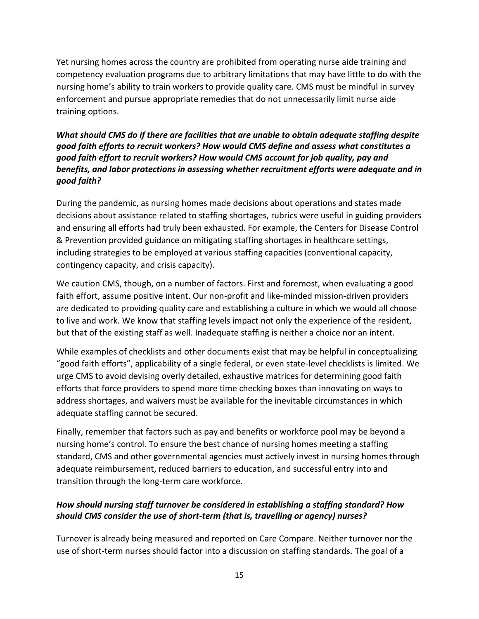Yet nursing homes across the country are prohibited from operating nurse aide training and competency evaluation programs due to arbitrary limitations that may have little to do with the nursing home's ability to train workers to provide quality care. CMS must be mindful in survey enforcement and pursue appropriate remedies that do not unnecessarily limit nurse aide training options.

#### *What should CMS do if there are facilities that are unable to obtain adequate staffing despite good faith efforts to recruit workers? How would CMS define and assess what constitutes a good faith effort to recruit workers? How would CMS account for job quality, pay and benefits, and labor protections in assessing whether recruitment efforts were adequate and in good faith?*

During the pandemic, as nursing homes made decisions about operations and states made decisions about assistance related to staffing shortages, rubrics were useful in guiding providers and ensuring all efforts had truly been exhausted. For example, the Centers for Disease Control & Prevention provided guidance on mitigating staffing shortages in healthcare settings, including strategies to be employed at various staffing capacities (conventional capacity, contingency capacity, and crisis capacity).

We caution CMS, though, on a number of factors. First and foremost, when evaluating a good faith effort, assume positive intent. Our non-profit and like-minded mission-driven providers are dedicated to providing quality care and establishing a culture in which we would all choose to live and work. We know that staffing levels impact not only the experience of the resident, but that of the existing staff as well. Inadequate staffing is neither a choice nor an intent.

While examples of checklists and other documents exist that may be helpful in conceptualizing "good faith efforts", applicability of a single federal, or even state-level checklists is limited. We urge CMS to avoid devising overly detailed, exhaustive matrices for determining good faith efforts that force providers to spend more time checking boxes than innovating on ways to address shortages, and waivers must be available for the inevitable circumstances in which adequate staffing cannot be secured.

Finally, remember that factors such as pay and benefits or workforce pool may be beyond a nursing home's control. To ensure the best chance of nursing homes meeting a staffing standard, CMS and other governmental agencies must actively invest in nursing homes through adequate reimbursement, reduced barriers to education, and successful entry into and transition through the long-term care workforce.

### *How should nursing staff turnover be considered in establishing a staffing standard? How should CMS consider the use of short-term (that is, travelling or agency) nurses?*

Turnover is already being measured and reported on Care Compare. Neither turnover nor the use of short-term nurses should factor into a discussion on staffing standards. The goal of a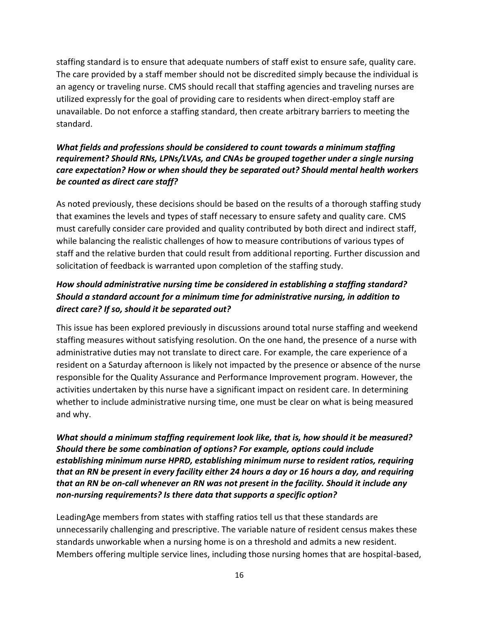staffing standard is to ensure that adequate numbers of staff exist to ensure safe, quality care. The care provided by a staff member should not be discredited simply because the individual is an agency or traveling nurse. CMS should recall that staffing agencies and traveling nurses are utilized expressly for the goal of providing care to residents when direct-employ staff are unavailable. Do not enforce a staffing standard, then create arbitrary barriers to meeting the standard.

### *What fields and professions should be considered to count towards a minimum staffing requirement? Should RNs, LPNs/LVAs, and CNAs be grouped together under a single nursing care expectation? How or when should they be separated out? Should mental health workers be counted as direct care staff?*

As noted previously, these decisions should be based on the results of a thorough staffing study that examines the levels and types of staff necessary to ensure safety and quality care. CMS must carefully consider care provided and quality contributed by both direct and indirect staff, while balancing the realistic challenges of how to measure contributions of various types of staff and the relative burden that could result from additional reporting. Further discussion and solicitation of feedback is warranted upon completion of the staffing study.

# *How should administrative nursing time be considered in establishing a staffing standard? Should a standard account for a minimum time for administrative nursing, in addition to direct care? If so, should it be separated out?*

This issue has been explored previously in discussions around total nurse staffing and weekend staffing measures without satisfying resolution. On the one hand, the presence of a nurse with administrative duties may not translate to direct care. For example, the care experience of a resident on a Saturday afternoon is likely not impacted by the presence or absence of the nurse responsible for the Quality Assurance and Performance Improvement program. However, the activities undertaken by this nurse have a significant impact on resident care. In determining whether to include administrative nursing time, one must be clear on what is being measured and why.

#### *What should a minimum staffing requirement look like, that is, how should it be measured? Should there be some combination of options? For example, options could include establishing minimum nurse HPRD, establishing minimum nurse to resident ratios, requiring that an RN be present in every facility either 24 hours a day or 16 hours a day, and requiring that an RN be on-call whenever an RN was not present in the facility. Should it include any non-nursing requirements? Is there data that supports a specific option?*

LeadingAge members from states with staffing ratios tell us that these standards are unnecessarily challenging and prescriptive. The variable nature of resident census makes these standards unworkable when a nursing home is on a threshold and admits a new resident. Members offering multiple service lines, including those nursing homes that are hospital-based,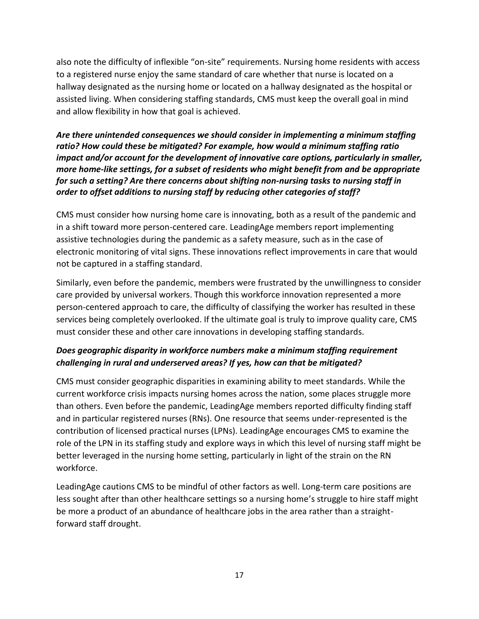also note the difficulty of inflexible "on-site" requirements. Nursing home residents with access to a registered nurse enjoy the same standard of care whether that nurse is located on a hallway designated as the nursing home or located on a hallway designated as the hospital or assisted living. When considering staffing standards, CMS must keep the overall goal in mind and allow flexibility in how that goal is achieved.

### *Are there unintended consequences we should consider in implementing a minimum staffing ratio? How could these be mitigated? For example, how would a minimum staffing ratio impact and/or account for the development of innovative care options, particularly in smaller, more home-like settings, for a subset of residents who might benefit from and be appropriate for such a setting? Are there concerns about shifting non-nursing tasks to nursing staff in order to offset additions to nursing staff by reducing other categories of staff?*

CMS must consider how nursing home care is innovating, both as a result of the pandemic and in a shift toward more person-centered care. LeadingAge members report implementing assistive technologies during the pandemic as a safety measure, such as in the case of electronic monitoring of vital signs. These innovations reflect improvements in care that would not be captured in a staffing standard.

Similarly, even before the pandemic, members were frustrated by the unwillingness to consider care provided by universal workers. Though this workforce innovation represented a more person-centered approach to care, the difficulty of classifying the worker has resulted in these services being completely overlooked. If the ultimate goal is truly to improve quality care, CMS must consider these and other care innovations in developing staffing standards.

# *Does geographic disparity in workforce numbers make a minimum staffing requirement challenging in rural and underserved areas? If yes, how can that be mitigated?*

CMS must consider geographic disparities in examining ability to meet standards. While the current workforce crisis impacts nursing homes across the nation, some places struggle more than others. Even before the pandemic, LeadingAge members reported difficulty finding staff and in particular registered nurses (RNs). One resource that seems under-represented is the contribution of licensed practical nurses (LPNs). LeadingAge encourages CMS to examine the role of the LPN in its staffing study and explore ways in which this level of nursing staff might be better leveraged in the nursing home setting, particularly in light of the strain on the RN workforce.

LeadingAge cautions CMS to be mindful of other factors as well. Long-term care positions are less sought after than other healthcare settings so a nursing home's struggle to hire staff might be more a product of an abundance of healthcare jobs in the area rather than a straightforward staff drought.